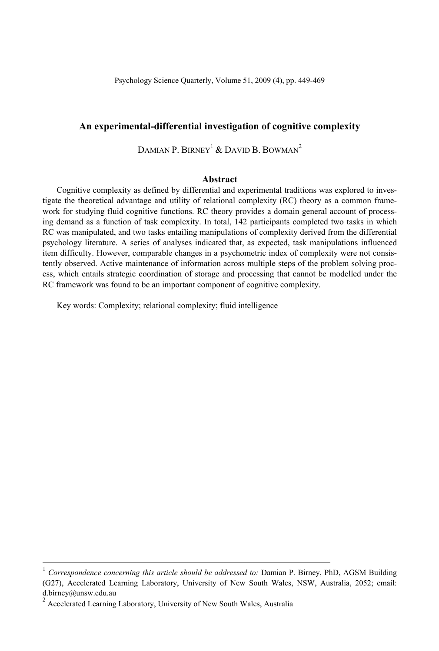### **An experimental-differential investigation of cognitive complexity**

DAMIAN P. BIRNEY<sup>1</sup> & DAVID B. BOWMAN<sup>2</sup>

### **Abstract**

Cognitive complexity as defined by differential and experimental traditions was explored to investigate the theoretical advantage and utility of relational complexity (RC) theory as a common framework for studying fluid cognitive functions. RC theory provides a domain general account of processing demand as a function of task complexity. In total, 142 participants completed two tasks in which RC was manipulated, and two tasks entailing manipulations of complexity derived from the differential psychology literature. A series of analyses indicated that, as expected, task manipulations influenced item difficulty. However, comparable changes in a psychometric index of complexity were not consistently observed. Active maintenance of information across multiple steps of the problem solving process, which entails strategic coordination of storage and processing that cannot be modelled under the RC framework was found to be an important component of cognitive complexity.

Key words: Complexity; relational complexity; fluid intelligence

 <sup>1</sup> *Correspondence concerning this article should be addressed to:* Damian P. Birney, PhD, AGSM Building (G27), Accelerated Learning Laboratory, University of New South Wales, NSW, Australia, 2052; email: d.birney@unsw.edu.au

<sup>2</sup> Accelerated Learning Laboratory, University of New South Wales, Australia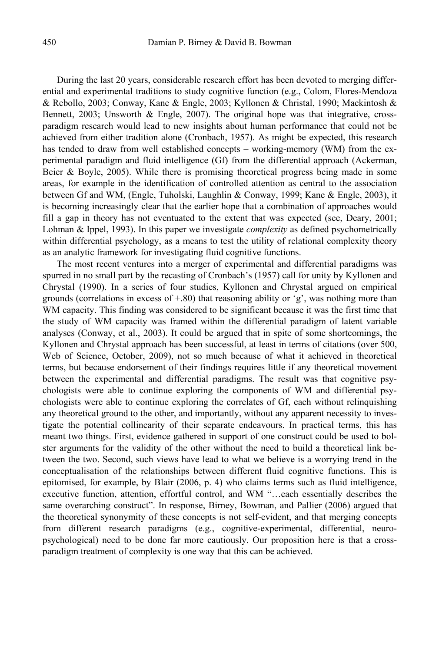During the last 20 years, considerable research effort has been devoted to merging differential and experimental traditions to study cognitive function (e.g., Colom, Flores-Mendoza & Rebollo, 2003; Conway, Kane & Engle, 2003; Kyllonen & Christal, 1990; Mackintosh & Bennett,  $2003$ ; Unsworth & Engle,  $2007$ ). The original hope was that integrative, crossparadigm research would lead to new insights about human performance that could not be achieved from either tradition alone (Cronbach, 1957). As might be expected, this research has tended to draw from well established concepts – working-memory (WM) from the experimental paradigm and fluid intelligence (Gf) from the differential approach (Ackerman, Beier  $\&$  Boyle, 2005). While there is promising theoretical progress being made in some areas, for example in the identification of controlled attention as central to the association between Gf and WM, (Engle, Tuholski, Laughlin & Conway, 1999; Kane & Engle, 2003), it is becoming increasingly clear that the earlier hope that a combination of approaches would fill a gap in theory has not eventuated to the extent that was expected (see, Deary, 2001; Lohman & Ippel, 1993). In this paper we investigate *complexity* as defined psychometrically within differential psychology, as a means to test the utility of relational complexity theory as an analytic framework for investigating fluid cognitive functions.

The most recent ventures into a merger of experimental and differential paradigms was spurred in no small part by the recasting of Cronbach's (1957) call for unity by Kyllonen and Chrystal (1990). In a series of four studies, Kyllonen and Chrystal argued on empirical grounds (correlations in excess of  $+80$ ) that reasoning ability or 'g', was nothing more than WM capacity. This finding was considered to be significant because it was the first time that the study of WM capacity was framed within the differential paradigm of latent variable analyses (Conway, et al., 2003). It could be argued that in spite of some shortcomings, the Kyllonen and Chrystal approach has been successful, at least in terms of citations (over 500, Web of Science, October, 2009), not so much because of what it achieved in theoretical terms, but because endorsement of their findings requires little if any theoretical movement between the experimental and differential paradigms. The result was that cognitive psychologists were able to continue exploring the components of WM and differential psychologists were able to continue exploring the correlates of Gf, each without relinquishing any theoretical ground to the other, and importantly, without any apparent necessity to investigate the potential collinearity of their separate endeavours. In practical terms, this has meant two things. First, evidence gathered in support of one construct could be used to bolster arguments for the validity of the other without the need to build a theoretical link between the two. Second, such views have lead to what we believe is a worrying trend in the conceptualisation of the relationships between different fluid cognitive functions. This is epitomised, for example, by Blair (2006, p. 4) who claims terms such as fluid intelligence, executive function, attention, effortful control, and WM "…each essentially describes the same overarching construct". In response, Birney, Bowman, and Pallier (2006) argued that the theoretical synonymity of these concepts is not self-evident, and that merging concepts from different research paradigms (e.g., cognitive-experimental, differential, neuropsychological) need to be done far more cautiously. Our proposition here is that a crossparadigm treatment of complexity is one way that this can be achieved.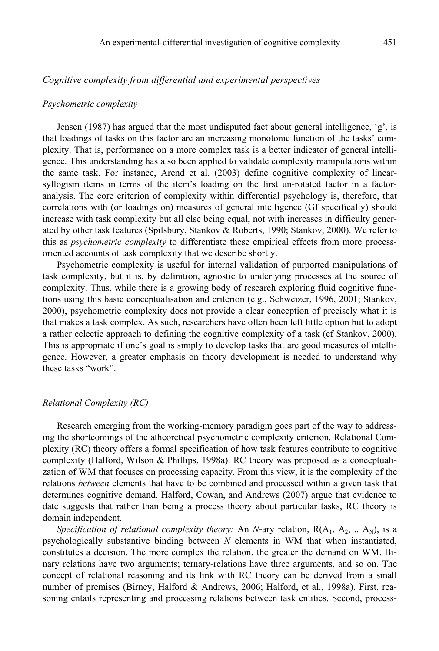## *Cognitive complexity from differential and experimental perspectives*

#### *Psychometric complexity*

Jensen (1987) has argued that the most undisputed fact about general intelligence,  $g'$ , is that loadings of tasks on this factor are an increasing monotonic function of the tasks' complexity. That is, performance on a more complex task is a better indicator of general intelligence. This understanding has also been applied to validate complexity manipulations within the same task. For instance, Arend et al. (2003) define cognitive complexity of linearsyllogism items in terms of the item's loading on the first un-rotated factor in a factoranalysis. The core criterion of complexity within differential psychology is, therefore, that correlations with (or loadings on) measures of general intelligence (Gf specifically) should increase with task complexity but all else being equal, not with increases in difficulty generated by other task features (Spilsbury, Stankov & Roberts, 1990; Stankov, 2000). We refer to this as *psychometric complexity* to differentiate these empirical effects from more processoriented accounts of task complexity that we describe shortly.

Psychometric complexity is useful for internal validation of purported manipulations of task complexity, but it is, by definition, agnostic to underlying processes at the source of complexity. Thus, while there is a growing body of research exploring fluid cognitive functions using this basic conceptualisation and criterion (e.g., Schweizer, 1996, 2001; Stankov, 2000), psychometric complexity does not provide a clear conception of precisely what it is that makes a task complex. As such, researchers have often been left little option but to adopt a rather eclectic approach to defining the cognitive complexity of a task (cf Stankov, 2000). This is appropriate if one's goal is simply to develop tasks that are good measures of intelligence. However, a greater emphasis on theory development is needed to understand why these tasks "work".

#### *Relational Complexity (RC)*

Research emerging from the working-memory paradigm goes part of the way to addressing the shortcomings of the atheoretical psychometric complexity criterion. Relational Complexity (RC) theory offers a formal specification of how task features contribute to cognitive complexity (Halford, Wilson & Phillips, 1998a). RC theory was proposed as a conceptualization of WM that focuses on processing capacity. From this view, it is the complexity of the relations *between* elements that have to be combined and processed within a given task that determines cognitive demand. Halford, Cowan, and Andrews (2007) argue that evidence to date suggests that rather than being a process theory about particular tasks, RC theory is domain independent.

*Specification of relational complexity theory:* An *N*-ary relation,  $R(A_1, A_2, ... A_N)$ , is a psychologically substantive binding between *N* elements in WM that when instantiated, constitutes a decision. The more complex the relation, the greater the demand on WM. Binary relations have two arguments; ternary-relations have three arguments, and so on. The concept of relational reasoning and its link with RC theory can be derived from a small number of premises (Birney, Halford & Andrews, 2006; Halford, et al., 1998a). First, reasoning entails representing and processing relations between task entities. Second, process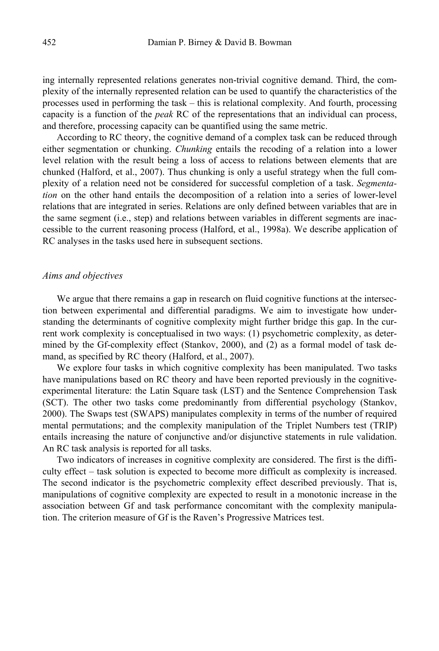ing internally represented relations generates non-trivial cognitive demand. Third, the complexity of the internally represented relation can be used to quantify the characteristics of the processes used in performing the task – this is relational complexity. And fourth, processing capacity is a function of the *peak* RC of the representations that an individual can process, and therefore, processing capacity can be quantified using the same metric.

According to RC theory, the cognitive demand of a complex task can be reduced through either segmentation or chunking. *Chunking* entails the recoding of a relation into a lower level relation with the result being a loss of access to relations between elements that are chunked (Halford, et al., 2007). Thus chunking is only a useful strategy when the full complexity of a relation need not be considered for successful completion of a task. *Segmentation* on the other hand entails the decomposition of a relation into a series of lower-level relations that are integrated in series. Relations are only defined between variables that are in the same segment (i.e., step) and relations between variables in different segments are inaccessible to the current reasoning process (Halford, et al., 1998a). We describe application of RC analyses in the tasks used here in subsequent sections.

## *Aims and objectives*

We argue that there remains a gap in research on fluid cognitive functions at the intersection between experimental and differential paradigms. We aim to investigate how understanding the determinants of cognitive complexity might further bridge this gap. In the current work complexity is conceptualised in two ways: (1) psychometric complexity, as determined by the Gf-complexity effect (Stankov, 2000), and (2) as a formal model of task demand, as specified by RC theory (Halford, et al., 2007).

We explore four tasks in which cognitive complexity has been manipulated. Two tasks have manipulations based on RC theory and have been reported previously in the cognitiveexperimental literature: the Latin Square task (LST) and the Sentence Comprehension Task (SCT). The other two tasks come predominantly from differential psychology (Stankov, 2000). The Swaps test (SWAPS) manipulates complexity in terms of the number of required mental permutations; and the complexity manipulation of the Triplet Numbers test (TRIP) entails increasing the nature of conjunctive and/or disjunctive statements in rule validation. An RC task analysis is reported for all tasks.

Two indicators of increases in cognitive complexity are considered. The first is the difficulty effect – task solution is expected to become more difficult as complexity is increased. The second indicator is the psychometric complexity effect described previously. That is, manipulations of cognitive complexity are expected to result in a monotonic increase in the association between Gf and task performance concomitant with the complexity manipulation. The criterion measure of Gf is the Raven's Progressive Matrices test.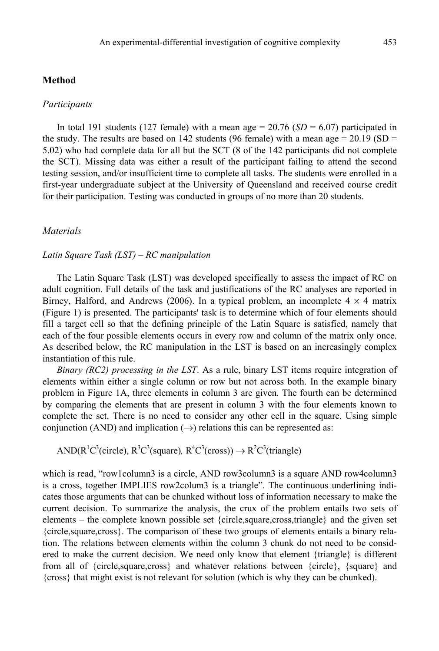### **Method**

#### *Participants*

In total 191 students (127 female) with a mean age  $= 20.76$  (*SD*  $= 6.07$ ) participated in the study. The results are based on 142 students (96 female) with a mean age = 20.19 (SD = 5.02) who had complete data for all but the SCT (8 of the 142 participants did not complete the SCT). Missing data was either a result of the participant failing to attend the second testing session, and/or insufficient time to complete all tasks. The students were enrolled in a first-year undergraduate subject at the University of Queensland and received course credit for their participation. Testing was conducted in groups of no more than 20 students.

# *Materials*

# *Latin Square Task (LST) – RC manipulation*

The Latin Square Task (LST) was developed specifically to assess the impact of RC on adult cognition. Full details of the task and justifications of the RC analyses are reported in Birney, Halford, and Andrews (2006). In a typical problem, an incomplete  $4 \times 4$  matrix (Figure 1) is presented. The participants' task is to determine which of four elements should fill a target cell so that the defining principle of the Latin Square is satisfied, namely that each of the four possible elements occurs in every row and column of the matrix only once. As described below, the RC manipulation in the LST is based on an increasingly complex instantiation of this rule.

*Binary (RC2) processing in the LST*. As a rule, binary LST items require integration of elements within either a single column or row but not across both. In the example binary problem in Figure 1A, three elements in column 3 are given. The fourth can be determined by comparing the elements that are present in column 3 with the four elements known to complete the set. There is no need to consider any other cell in the square. Using simple conjunction (AND) and implication  $(\rightarrow)$  relations this can be represented as:

# AND( $R^1C^3$ (circle),  $R^3C^3$ (square),  $R^4C^3$ (cross))  $\rightarrow R^2C^3$ (triangle)

which is read, "row1column3 is a circle, AND row3column3 is a square AND row4column3 is a cross, together IMPLIES row2colum3 is a triangle". The continuous underlining indicates those arguments that can be chunked without loss of information necessary to make the current decision. To summarize the analysis, the crux of the problem entails two sets of elements – the complete known possible set {circle,square,cross,triangle} and the given set {circle,square,cross}. The comparison of these two groups of elements entails a binary relation. The relations between elements within the column 3 chunk do not need to be considered to make the current decision. We need only know that element {triangle} is different from all of {circle,square,cross} and whatever relations between {circle}, {square} and {cross} that might exist is not relevant for solution (which is why they can be chunked).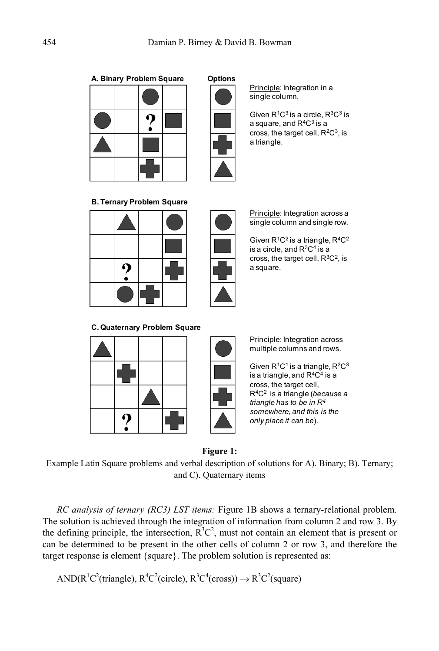**A. Binary Problem Square Options**





Principle: Integration in a single column.

Given  $R<sup>1</sup>C<sup>3</sup>$  is a circle,  $R<sup>3</sup>C<sup>3</sup>$  is a square, and  $R^4C^3$  is a cross, the target cell,  $R^2C^3$ , is a triangle.

**B. Ternary Problem Square**





Principle: Integration across a single column and single row.

Given  $R^1C^2$  is a triangle,  $R^4C^2$ is a circle, and  $R^3C^4$  is a cross, the target cell,  $R^3C^2$ , is a square.

**C. Quaternary Problem Square**





Principle: Integration across multiple columns and rows.

Given  $R^1C^1$  is a triangle,  $R^3C^3$ is a triangle, and  $R^4C^4$  is a cross, the target cell, R4C2 is a triangle (*because a triangle has to be in R4 somewhere, and this is the only place it can be*).

### **Figure 1:**

Example Latin Square problems and verbal description of solutions for A). Binary; B). Ternary; and C). Quaternary items

*RC analysis of ternary (RC3) LST items:* Figure 1B shows a ternary-relational problem. The solution is achieved through the integration of information from column 2 and row 3. By the defining principle, the intersection,  $R^3C^2$ , must not contain an element that is present or can be determined to be present in the other cells of column 2 or row 3, and therefore the target response is element {square}. The problem solution is represented as:

AND( $R^1C^2$ (triangle),  $R^4C^2$ (circle),  $R^3C^4$ (cross))  $\rightarrow R^3C^2$ (square)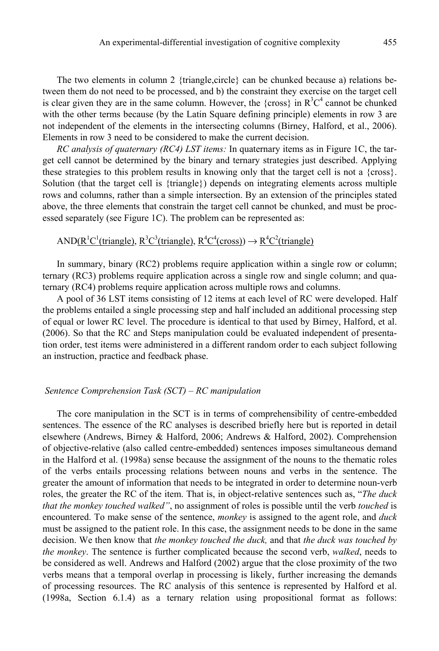The two elements in column 2 {triangle,circle} can be chunked because a) relations between them do not need to be processed, and b) the constraint they exercise on the target cell is clear given they are in the same column. However, the {cross} in  $R^3C^4$  cannot be chunked with the other terms because (by the Latin Square defining principle) elements in row 3 are not independent of the elements in the intersecting columns (Birney, Halford, et al., 2006). Elements in row 3 need to be considered to make the current decision.

*RC analysis of quaternary (RC4) LST items:* In quaternary items as in Figure 1C, the target cell cannot be determined by the binary and ternary strategies just described. Applying these strategies to this problem results in knowing only that the target cell is not a {cross}. Solution (that the target cell is {triangle}) depends on integrating elements across multiple rows and columns, rather than a simple intersection. By an extension of the principles stated above, the three elements that constrain the target cell cannot be chunked, and must be processed separately (see Figure 1C). The problem can be represented as:

# AND( $R^1C^1$ (triangle),  $R^3C^3$ (triangle),  $R^4C^4$ (cross))  $\rightarrow R^4C^2$ (triangle)

In summary, binary (RC2) problems require application within a single row or column; ternary (RC3) problems require application across a single row and single column; and quaternary (RC4) problems require application across multiple rows and columns.

A pool of 36 LST items consisting of 12 items at each level of RC were developed. Half the problems entailed a single processing step and half included an additional processing step of equal or lower RC level. The procedure is identical to that used by Birney, Halford, et al. (2006). So that the RC and Steps manipulation could be evaluated independent of presentation order, test items were administered in a different random order to each subject following an instruction, practice and feedback phase.

## *Sentence Comprehension Task (SCT) – RC manipulation*

The core manipulation in the SCT is in terms of comprehensibility of centre-embedded sentences. The essence of the RC analyses is described briefly here but is reported in detail elsewhere (Andrews, Birney & Halford, 2006; Andrews & Halford, 2002). Comprehension of objective-relative (also called centre-embedded) sentences imposes simultaneous demand in the Halford et al. (1998a) sense because the assignment of the nouns to the thematic roles of the verbs entails processing relations between nouns and verbs in the sentence. The greater the amount of information that needs to be integrated in order to determine noun-verb roles, the greater the RC of the item. That is, in object-relative sentences such as, "*The duck that the monkey touched walked"*, no assignment of roles is possible until the verb *touched* is encountered. To make sense of the sentence, *monkey* is assigned to the agent role, and *duck* must be assigned to the patient role. In this case, the assignment needs to be done in the same decision. We then know that *the monkey touched the duck,* and that *the duck was touched by the monkey*. The sentence is further complicated because the second verb, *walked*, needs to be considered as well. Andrews and Halford (2002) argue that the close proximity of the two verbs means that a temporal overlap in processing is likely, further increasing the demands of processing resources. The RC analysis of this sentence is represented by Halford et al. (1998a, Section 6.1.4) as a ternary relation using propositional format as follows: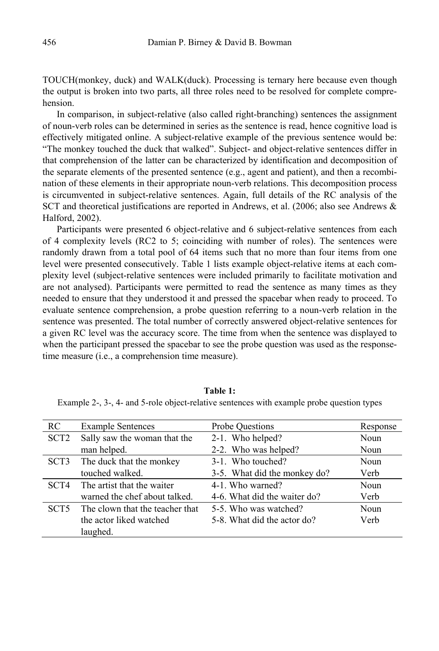TOUCH(monkey, duck) and WALK(duck). Processing is ternary here because even though the output is broken into two parts, all three roles need to be resolved for complete comprehension.

In comparison, in subject-relative (also called right-branching) sentences the assignment of noun-verb roles can be determined in series as the sentence is read, hence cognitive load is effectively mitigated online. A subject-relative example of the previous sentence would be: "The monkey touched the duck that walked". Subject- and object-relative sentences differ in that comprehension of the latter can be characterized by identification and decomposition of the separate elements of the presented sentence (e.g., agent and patient), and then a recombination of these elements in their appropriate noun-verb relations. This decomposition process is circumvented in subject-relative sentences. Again, full details of the RC analysis of the SCT and theoretical justifications are reported in Andrews, et al. (2006; also see Andrews & Halford, 2002).

Participants were presented 6 object-relative and 6 subject-relative sentences from each of 4 complexity levels (RC2 to 5; coinciding with number of roles). The sentences were randomly drawn from a total pool of 64 items such that no more than four items from one level were presented consecutively. Table 1 lists example object-relative items at each complexity level (subject-relative sentences were included primarily to facilitate motivation and are not analysed). Participants were permitted to read the sentence as many times as they needed to ensure that they understood it and pressed the spacebar when ready to proceed. To evaluate sentence comprehension, a probe question referring to a noun-verb relation in the sentence was presented. The total number of correctly answered object-relative sentences for a given RC level was the accuracy score. The time from when the sentence was displayed to when the participant pressed the spacebar to see the probe question was used as the responsetime measure (i.e., a comprehension time measure).

| RC.              | <b>Example Sentences</b>        | Probe Ouestions              | Response    |
|------------------|---------------------------------|------------------------------|-------------|
| SCT <sub>2</sub> | Sally saw the woman that the    | 2-1. Who helped?             | <b>Noun</b> |
|                  | man helped.                     | 2-2. Who was helped?         | Noun        |
| SCT <sub>3</sub> | The duck that the monkey        | 3-1. Who touched?            | Noun        |
|                  | touched walked.                 | 3-5. What did the monkey do? | Verb        |
| SCT4             | The artist that the waiter      | 4-1. Who warned?             | Noun        |
|                  | warned the chef about talked.   | 4-6. What did the waiter do? | Verb        |
| SCT5             | The clown that the teacher that | 5-5. Who was watched?        | Noun        |
|                  | the actor liked watched         | 5-8. What did the actor do?  | Verb        |
|                  | laughed.                        |                              |             |

**Table 1:**

Example 2-, 3-, 4- and 5-role object-relative sentences with example probe question types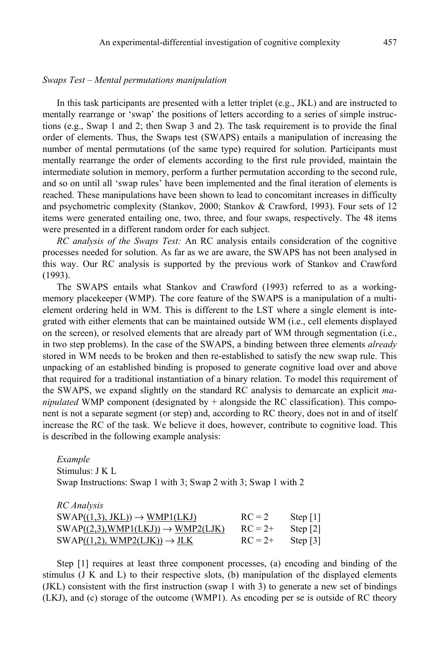#### *Swaps Test – Mental permutations manipulation*

In this task participants are presented with a letter triplet (e.g., JKL) and are instructed to mentally rearrange or 'swap' the positions of letters according to a series of simple instructions (e.g., Swap 1 and 2; then Swap 3 and 2). The task requirement is to provide the final order of elements. Thus, the Swaps test (SWAPS) entails a manipulation of increasing the number of mental permutations (of the same type) required for solution. Participants must mentally rearrange the order of elements according to the first rule provided, maintain the intermediate solution in memory, perform a further permutation according to the second rule, and so on until all 'swap rules' have been implemented and the final iteration of elements is reached. These manipulations have been shown to lead to concomitant increases in difficulty and psychometric complexity (Stankov, 2000; Stankov & Crawford, 1993). Four sets of 12 items were generated entailing one, two, three, and four swaps, respectively. The 48 items were presented in a different random order for each subject.

*RC analysis of the Swaps Test:* An RC analysis entails consideration of the cognitive processes needed for solution. As far as we are aware, the SWAPS has not been analysed in this way. Our RC analysis is supported by the previous work of Stankov and Crawford (1993).

The SWAPS entails what Stankov and Crawford (1993) referred to as a workingmemory placekeeper (WMP). The core feature of the SWAPS is a manipulation of a multielement ordering held in WM. This is different to the LST where a single element is integrated with either elements that can be maintained outside WM (i.e., cell elements displayed on the screen), or resolved elements that are already part of WM through segmentation (i.e., in two step problems). In the case of the SWAPS, a binding between three elements *already* stored in WM needs to be broken and then re-established to satisfy the new swap rule. This unpacking of an established binding is proposed to generate cognitive load over and above that required for a traditional instantiation of a binary relation. To model this requirement of the SWAPS, we expand slightly on the standard RC analysis to demarcate an explicit *manipulated* WMP component (designated by  $+$  alongside the RC classification). This component is not a separate segment (or step) and, according to RC theory, does not in and of itself increase the RC of the task. We believe it does, however, contribute to cognitive load. This is described in the following example analysis:

*Example*  Stimulus: J K L Swap Instructions: Swap 1 with 3; Swap 2 with 3; Swap 1 with 2

*RC Analysis* 

| KC Analysis                                    |           |                        |
|------------------------------------------------|-----------|------------------------|
| $SWAP((1,3), JKL)) \rightarrow WMP1(LKJ)$      | $RC = 2$  | Step $\lceil 1 \rceil$ |
| $SWAP((2,3), WMP1(LKJ)) \rightarrow WMP2(LJK)$ | $RC = 2+$ | Step $\lceil 2 \rceil$ |
| $SWAP((1,2), WMP2(LJK)) \rightarrow JLK$       | $RC = 2+$ | Step $\lceil 3 \rceil$ |

Step [1] requires at least three component processes, (a) encoding and binding of the stimulus  $(J K and L)$  to their respective slots,  $(b)$  manipulation of the displayed elements (JKL) consistent with the first instruction (swap 1 with 3) to generate a new set of bindings (LKJ), and (c) storage of the outcome (WMP1). As encoding per se is outside of RC theory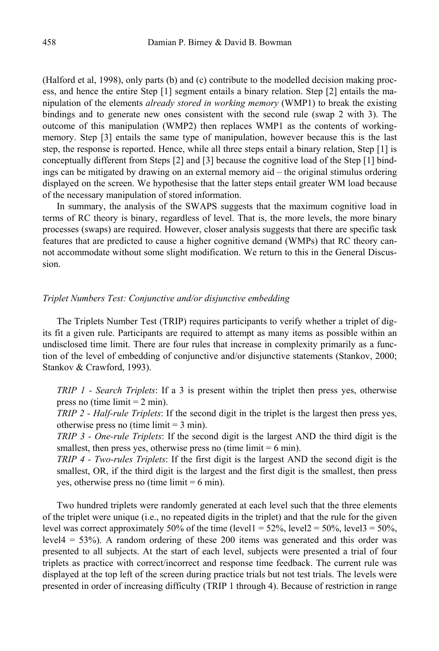(Halford et al, 1998), only parts (b) and (c) contribute to the modelled decision making process, and hence the entire Step [1] segment entails a binary relation. Step [2] entails the manipulation of the elements *already stored in working memory* (WMP1) to break the existing bindings and to generate new ones consistent with the second rule (swap 2 with 3). The outcome of this manipulation (WMP2) then replaces WMP1 as the contents of workingmemory. Step [3] entails the same type of manipulation, however because this is the last step, the response is reported. Hence, while all three steps entail a binary relation, Step [1] is conceptually different from Steps [2] and [3] because the cognitive load of the Step [1] bindings can be mitigated by drawing on an external memory aid – the original stimulus ordering displayed on the screen. We hypothesise that the latter steps entail greater WM load because of the necessary manipulation of stored information.

In summary, the analysis of the SWAPS suggests that the maximum cognitive load in terms of RC theory is binary, regardless of level. That is, the more levels, the more binary processes (swaps) are required. However, closer analysis suggests that there are specific task features that are predicted to cause a higher cognitive demand (WMPs) that RC theory cannot accommodate without some slight modification. We return to this in the General Discussion.

# *Triplet Numbers Test: Conjunctive and/or disjunctive embedding*

The Triplets Number Test (TRIP) requires participants to verify whether a triplet of digits fit a given rule. Participants are required to attempt as many items as possible within an undisclosed time limit. There are four rules that increase in complexity primarily as a function of the level of embedding of conjunctive and/or disjunctive statements (Stankov, 2000; Stankov & Crawford, 1993).

*TRIP 1 - Search Triplets*: If a 3 is present within the triplet then press yes, otherwise press no (time  $\lim_{x \to 2} \min$ ).

*TRIP 2 - Half-rule Triplets*: If the second digit in the triplet is the largest then press yes, otherwise press no (time limit  $=$  3 min).

*TRIP 3 - One-rule Triplets*: If the second digit is the largest AND the third digit is the smallest, then press yes, otherwise press no (time limit  $= 6$  min).

*TRIP 4 - Two-rules Triplets*: If the first digit is the largest AND the second digit is the smallest, OR, if the third digit is the largest and the first digit is the smallest, then press yes, otherwise press no (time limit  $= 6$  min).

Two hundred triplets were randomly generated at each level such that the three elements of the triplet were unique (i.e., no repeated digits in the triplet) and that the rule for the given level was correct approximately 50% of the time (level1 =  $52\%$ , level2 =  $50\%$ , level3 =  $50\%$ , level4 = 53%). A random ordering of these 200 items was generated and this order was presented to all subjects. At the start of each level, subjects were presented a trial of four triplets as practice with correct/incorrect and response time feedback. The current rule was displayed at the top left of the screen during practice trials but not test trials. The levels were presented in order of increasing difficulty (TRIP 1 through 4). Because of restriction in range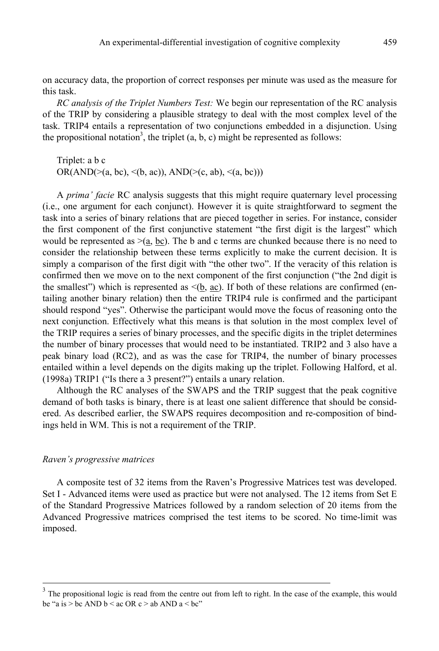on accuracy data, the proportion of correct responses per minute was used as the measure for this task.

*RC analysis of the Triplet Numbers Test:* We begin our representation of the RC analysis of the TRIP by considering a plausible strategy to deal with the most complex level of the task. TRIP4 entails a representation of two conjunctions embedded in a disjunction. Using the propositional notation<sup>3</sup>, the triplet  $(a, b, c)$  might be represented as follows:

Triplet: a b c  $OR(AND(\geq(a, bc), \leq(b, ac)), AND(\geq(c, ab), \leq(a, bc)))$ 

A *prima' facie* RC analysis suggests that this might require quaternary level processing (i.e., one argument for each conjunct). However it is quite straightforward to segment the task into a series of binary relations that are pieced together in series. For instance, consider the first component of the first conjunctive statement "the first digit is the largest" which would be represented as  $>(a, bc)$ . The b and c terms are chunked because there is no need to consider the relationship between these terms explicitly to make the current decision. It is simply a comparison of the first digit with "the other two". If the veracity of this relation is confirmed then we move on to the next component of the first conjunction ("the 2nd digit is the smallest") which is represented as  $\leq$ (b, ac). If both of these relations are confirmed (entailing another binary relation) then the entire TRIP4 rule is confirmed and the participant should respond "yes". Otherwise the participant would move the focus of reasoning onto the next conjunction. Effectively what this means is that solution in the most complex level of the TRIP requires a series of binary processes, and the specific digits in the triplet determines the number of binary processes that would need to be instantiated. TRIP2 and 3 also have a peak binary load (RC2), and as was the case for TRIP4, the number of binary processes entailed within a level depends on the digits making up the triplet. Following Halford, et al. (1998a) TRIP1 ("Is there a 3 present?") entails a unary relation.

Although the RC analyses of the SWAPS and the TRIP suggest that the peak cognitive demand of both tasks is binary, there is at least one salient difference that should be considered. As described earlier, the SWAPS requires decomposition and re-composition of bindings held in WM. This is not a requirement of the TRIP.

#### *Raven's progressive matrices*

A composite test of 32 items from the Raven's Progressive Matrices test was developed. Set I - Advanced items were used as practice but were not analysed. The 12 items from Set E of the Standard Progressive Matrices followed by a random selection of 20 items from the Advanced Progressive matrices comprised the test items to be scored. No time-limit was imposed.

 <sup>3</sup>  $3$  The propositional logic is read from the centre out from left to right. In the case of the example, this would be "a is  $>$  bc AND b  $<$  ac OR c  $>$  ab AND a  $<$  bc"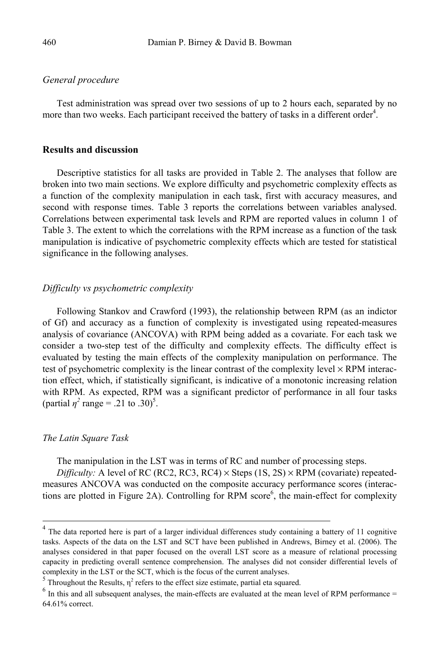## *General procedure*

Test administration was spread over two sessions of up to 2 hours each, separated by no more than two weeks. Each participant received the battery of tasks in a different order<sup>4</sup>.

## **Results and discussion**

Descriptive statistics for all tasks are provided in Table 2. The analyses that follow are broken into two main sections. We explore difficulty and psychometric complexity effects as a function of the complexity manipulation in each task, first with accuracy measures, and second with response times. Table 3 reports the correlations between variables analysed. Correlations between experimental task levels and RPM are reported values in column 1 of Table 3. The extent to which the correlations with the RPM increase as a function of the task manipulation is indicative of psychometric complexity effects which are tested for statistical significance in the following analyses.

# *Difficulty vs psychometric complexity*

Following Stankov and Crawford (1993), the relationship between RPM (as an indictor of Gf) and accuracy as a function of complexity is investigated using repeated-measures analysis of covariance (ANCOVA) with RPM being added as a covariate. For each task we consider a two-step test of the difficulty and complexity effects. The difficulty effect is evaluated by testing the main effects of the complexity manipulation on performance. The test of psychometric complexity is the linear contrast of the complexity level  $\times$  RPM interaction effect, which, if statistically significant, is indicative of a monotonic increasing relation with RPM. As expected, RPM was a significant predictor of performance in all four tasks (partial  $\eta^2$  range = .21 to .30)<sup>5</sup>.

#### *The Latin Square Task*

The manipulation in the LST was in terms of RC and number of processing steps.

*Difficulty:* A level of RC (RC2, RC3, RC4)  $\times$  Steps (1S, 2S)  $\times$  RPM (covariate) repeatedmeasures ANCOVA was conducted on the composite accuracy performance scores (interactions are plotted in Figure 2A). Controlling for RPM  $score<sup>6</sup>$ , the main-effect for complexity

 <sup>4</sup>  $4$  The data reported here is part of a larger individual differences study containing a battery of 11 cognitive tasks. Aspects of the data on the LST and SCT have been published in Andrews, Birney et al. (2006). The analyses considered in that paper focused on the overall LST score as a measure of relational processing capacity in predicting overall sentence comprehension. The analyses did not consider differential levels of complexity in the LST or the SCT, which is the focus of the current analyses.

Throughout the Results,  $\eta^2$  refers to the effect size estimate, partial eta squared.

 $<sup>6</sup>$  In this and all subsequent analyses, the main-effects are evaluated at the mean level of RPM performance =</sup> 64.61% correct.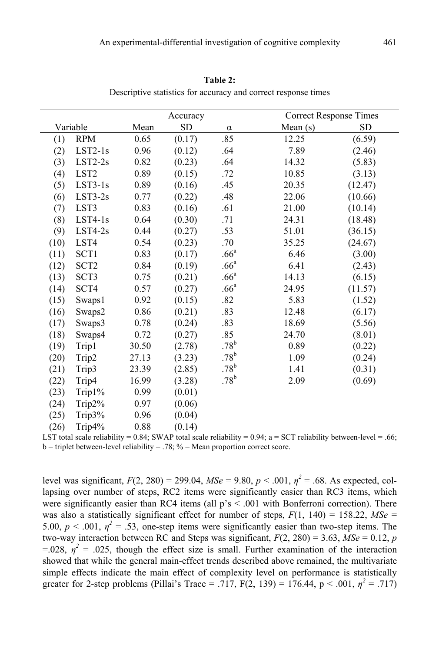|      |                  |       | Accuracy  |                  | <b>Correct Response Times</b> |            |
|------|------------------|-------|-----------|------------------|-------------------------------|------------|
|      | Variable         | Mean  | <b>SD</b> | $\alpha$         | Mean $(s)$                    | ${\rm SD}$ |
| (1)  | <b>RPM</b>       | 0.65  | (0.17)    | .85              | 12.25                         | (6.59)     |
| (2)  | $LST2-1s$        | 0.96  | (0.12)    | .64              | 7.89                          | (2.46)     |
| (3)  | $LST2-2s$        | 0.82  | (0.23)    | .64              | 14.32                         | (5.83)     |
| (4)  | LST <sub>2</sub> | 0.89  | (0.15)    | .72              | 10.85                         | (3.13)     |
| (5)  | $LST3-1s$        | 0.89  | (0.16)    | .45              | 20.35                         | (12.47)    |
| (6)  | $LST3-2s$        | 0.77  | (0.22)    | .48              | 22.06                         | (10.66)    |
| (7)  | LST3             | 0.83  | (0.16)    | .61              | 21.00                         | (10.14)    |
| (8)  | $LST4-1s$        | 0.64  | (0.30)    | .71              | 24.31                         | (18.48)    |
| (9)  | $LST4-2s$        | 0.44  | (0.27)    | .53              | 51.01                         | (36.15)    |
| (10) | LST4             | 0.54  | (0.23)    | .70              | 35.25                         | (24.67)    |
| (11) | SCT1             | 0.83  | (0.17)    | .66 <sup>a</sup> | 6.46                          | (3.00)     |
| (12) | SCT <sub>2</sub> | 0.84  | (0.19)    | .66 <sup>a</sup> | 6.41                          | (2.43)     |
| (13) | SCT3             | 0.75  | (0.21)    | .66 <sup>a</sup> | 14.13                         | (6.15)     |
| (14) | SCT4             | 0.57  | (0.27)    | .66 <sup>a</sup> | 24.95                         | (11.57)    |
| (15) | Swaps1           | 0.92  | (0.15)    | .82              | 5.83                          | (1.52)     |
| (16) | Swaps2           | 0.86  | (0.21)    | .83              | 12.48                         | (6.17)     |
| (17) | Swaps3           | 0.78  | (0.24)    | .83              | 18.69                         | (5.56)     |
| (18) | Swaps4           | 0.72  | (0.27)    | .85              | 24.70                         | (8.01)     |
| (19) | Trip1            | 30.50 | (2.78)    | $.78^{b}$        | 0.89                          | (0.22)     |
| (20) | Trip2            | 27.13 | (3.23)    | $.78^{b}$        | 1.09                          | (0.24)     |
| (21) | Trip3            | 23.39 | (2.85)    | .78 <sup>b</sup> | 1.41                          | (0.31)     |
| (22) | Trip4            | 16.99 | (3.28)    | $.78^{\rm b}$    | 2.09                          | (0.69)     |
| (23) | Trip1%           | 0.99  | (0.01)    |                  |                               |            |
| (24) | Trip2%           | 0.97  | (0.06)    |                  |                               |            |
| (25) | Trip3%           | 0.96  | (0.04)    |                  |                               |            |
| (26) | Trip $4\%$       | 0.88  | (0.14)    |                  |                               |            |

**Table 2:**

Descriptive statistics for accuracy and correct response times

LST total scale reliability =  $0.84$ ; SWAP total scale reliability =  $0.94$ ; a = SCT reliability between-level = .66;  $b =$  triplet between-level reliability = .78; % = Mean proportion correct score.

level was significant,  $F(2, 280) = 299.04$ ,  $MSe = 9.80$ ,  $p < .001$ ,  $\eta^2 = .68$ . As expected, collapsing over number of steps, RC2 items were significantly easier than RC3 items, which were significantly easier than RC4 items (all  $p's < .001$  with Bonferroni correction). There was also a statistically significant effect for number of steps,  $F(1, 140) = 158.22$ ,  $MSe$ 5.00,  $p < .001$ ,  $\eta^2 = .53$ , one-step items were significantly easier than two-step items. The two-way interaction between RC and Steps was significant,  $F(2, 280) = 3.63$ ,  $\overline{MSe} = 0.12$ , *p*  $=$  028,  $\eta^2$  = .025, though the effect size is small. Further examination of the interaction showed that while the general main-effect trends described above remained, the multivariate simple effects indicate the main effect of complexity level on performance is statistically greater for 2-step problems (Pillai's Trace = .717, F(2, 139) = 176.44, p < .001,  $\eta^2$  = .717)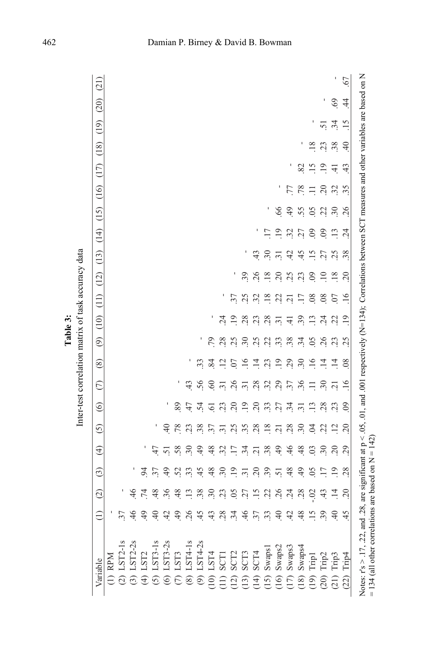|                                                                                                                                                                                                                                                                 |                 |                 |                 |                 |                 | have the more community of the contract of the contract of the contract of the contract of the contract of the contract of the contract of the contract of the contract of the contract of the contract of the contract of the |                     |                 |                       |                 |                                    |                |                 |                 |                |       |                      |                |                                 |      |
|-----------------------------------------------------------------------------------------------------------------------------------------------------------------------------------------------------------------------------------------------------------------|-----------------|-----------------|-----------------|-----------------|-----------------|--------------------------------------------------------------------------------------------------------------------------------------------------------------------------------------------------------------------------------|---------------------|-----------------|-----------------------|-----------------|------------------------------------|----------------|-----------------|-----------------|----------------|-------|----------------------|----------------|---------------------------------|------|
| Variable                                                                                                                                                                                                                                                        | $\widehat{=}$   | $\widehat{c}$   | $\odot$         | $\widehat{4}$   | $\tilde{c}$     | $\circledcirc$                                                                                                                                                                                                                 | $\widehat{\subset}$ | $\circledS$     | $\odot$               | (10)            | $\begin{pmatrix} 11 \end{pmatrix}$ | (12)           | (13)            | $(14)$ $(15)$   |                |       | $(16)$ $(17)$ $(18)$ | (19)           | (20)                            | (21) |
| $(1)$ RPM                                                                                                                                                                                                                                                       |                 |                 |                 |                 |                 |                                                                                                                                                                                                                                |                     |                 |                       |                 |                                    |                |                 |                 |                |       |                      |                |                                 |      |
| $(2)$ LST2-1                                                                                                                                                                                                                                                    | 37              |                 |                 |                 |                 |                                                                                                                                                                                                                                |                     |                 |                       |                 |                                    |                |                 |                 |                |       |                      |                |                                 |      |
|                                                                                                                                                                                                                                                                 | 46              | 46              |                 |                 |                 |                                                                                                                                                                                                                                |                     |                 |                       |                 |                                    |                |                 |                 |                |       |                      |                |                                 |      |
|                                                                                                                                                                                                                                                                 | 49              | $\overline{74}$ | 54              |                 |                 |                                                                                                                                                                                                                                |                     |                 |                       |                 |                                    |                |                 |                 |                |       |                      |                |                                 |      |
|                                                                                                                                                                                                                                                                 | $\overline{4}$  | 48              | 37              | 47              | I               |                                                                                                                                                                                                                                |                     |                 |                       |                 |                                    |                |                 |                 |                |       |                      |                |                                 |      |
| (3) LST2-2s<br>(4) LST2<br>(4) LST3-18<br>(5) LST3-2s<br>(6) LST3-2s<br>(6) LST4-1s<br>(6) LST4-1s<br>(8) LST4-2s<br>(10) LST4-2s<br>(10) SCT2<br>(10) SCT2<br>(10) SCT3<br>(10) SWapsi<br>(10) SCT3<br>(10) SWapsi<br>(10) SWapsi<br>(10) SWapsi<br>(10) SWaps | 42              | 36              | $\overline{6}$  | $\overline{51}$ | $\overline{4}$  |                                                                                                                                                                                                                                |                     |                 |                       |                 |                                    |                |                 |                 |                |       |                      |                |                                 |      |
|                                                                                                                                                                                                                                                                 | 49              | 48              | 52              | 58              | .78             | 89                                                                                                                                                                                                                             |                     |                 |                       |                 |                                    |                |                 |                 |                |       |                      |                |                                 |      |
|                                                                                                                                                                                                                                                                 | 26              | $\overline{13}$ | 33              | 30              | 23              | 47                                                                                                                                                                                                                             | 43                  | I               |                       |                 |                                    |                |                 |                 |                |       |                      |                |                                 |      |
|                                                                                                                                                                                                                                                                 | 45              | 38              | 45              | $\ddot{ }$      | 38              | $\ddot{5}$                                                                                                                                                                                                                     | 56                  | 33              | I                     |                 |                                    |                |                 |                 |                |       |                      |                |                                 |      |
|                                                                                                                                                                                                                                                                 | 43              | $\ddot{.}30$    | 48              | 48              | 37              | $\overline{6}$                                                                                                                                                                                                                 | 60                  | $\overline{84}$ | 50                    |                 |                                    |                |                 |                 |                |       |                      |                |                                 |      |
|                                                                                                                                                                                                                                                                 | 28              | 23              | 30              | 32              | $\overline{31}$ | $\mathcal{Z}$                                                                                                                                                                                                                  | $\overline{31}$     | $\overline{12}$ | 28                    | $\ddot{c}$      | ٠                                  |                |                 |                 |                |       |                      |                |                                 |      |
|                                                                                                                                                                                                                                                                 | 34              | $\overline{5}$  | $\ddot{.}$      | $\overline{17}$ | 25              | 20                                                                                                                                                                                                                             | 26                  | 07              | 25                    | $\overline{.}$  | 37                                 |                |                 |                 |                |       |                      |                |                                 |      |
|                                                                                                                                                                                                                                                                 | 46              | 27              | $\overline{31}$ | $\ddot{34}$     | 35              | $\ddot{.}$                                                                                                                                                                                                                     | $\overline{31}$     | $\overline{16}$ | 30                    | 28              | 25                                 | 39             | t               |                 |                |       |                      |                |                                 |      |
|                                                                                                                                                                                                                                                                 | .37             | $\ddot{15}$     | 20              | $\overline{21}$ | 28              | 20                                                                                                                                                                                                                             | 28                  | $\overline{14}$ | 25                    | 23              | 32                                 | 26             | 43              |                 |                |       |                      |                |                                 |      |
|                                                                                                                                                                                                                                                                 | 33              | 22              | 39              | 38              | .18             | 33                                                                                                                                                                                                                             | 32                  | 23              | $\tilde{\mathcal{L}}$ | 28              | .18                                | .18            | 30              | $\overline{17}$ |                |       |                      |                |                                 |      |
|                                                                                                                                                                                                                                                                 | 40              | 26              | 51              | 49              | $\overline{c}$  | 27                                                                                                                                                                                                                             |                     | $\ddot{.}$      | 33                    | $\overline{31}$ | 22                                 | 20             | $\overline{31}$ | $\overline{.}$  | 66             |       |                      |                |                                 |      |
|                                                                                                                                                                                                                                                                 | 42              | $\ddot{c}$      | 48              | 46              | 28              | $\ddot{34}$                                                                                                                                                                                                                    | 29.58               | 29              | 38                    | $\overline{4}$  | $\overline{c}$                     | 25             | 42              | 32              | 49             | 77    | I                    |                |                                 |      |
|                                                                                                                                                                                                                                                                 | 48              | 28              | $\frac{1}{2}$   | 48              | $\overline{30}$ | $\overline{31}$                                                                                                                                                                                                                |                     | $\ddot{.}30$    | 34                    | 39              | $\overline{17}$                    | 23             | 45              | 27              | 55             | .78   | 82                   |                |                                 |      |
|                                                                                                                                                                                                                                                                 | $\overline{15}$ | $-02$           | $\overline{0}$  | $\mathcal{O}$   | $\overline{5}$  | $\overline{13}$                                                                                                                                                                                                                | $\Xi$               | $\overline{16}$ | $\delta$              | $\ddot{13}$     | 08                                 | $\overline{0}$ | $\overline{15}$ | $\overline{0}$  | 0 <sup>5</sup> | $\Xi$ | $\ddot{.}15$         | .18            |                                 |      |
| $\begin{array}{l} \underline{\mathbf{r}} \\ \underline{\mathbf{r}} \\ \underline{\mathbf{r}} \\ \underline{\mathbf{r}} \\ \underline{\mathbf{r}} \\ \underline{\mathbf{r}} \\ \underline{\mathbf{r}} \end{array}$                                               | 39              | 43              | $\overline{17}$ | 30              | $\ddot{c}$      | 28                                                                                                                                                                                                                             | $\ddot{.}30$        | $\vec{=}$       | 26                    | $\ddot{c}$      | $\frac{8}{3}$                      | $\hfill \Box$  | 27              | $_{09}$         | 22             | 20    | $\ddot{=}$           | 23             | $\overline{5}$                  |      |
|                                                                                                                                                                                                                                                                 | $\overline{40}$ | $\overline{14}$ | $\overline{19}$ | 20              | $\overline{12}$ | 23                                                                                                                                                                                                                             | $\overline{21}$     | $\vec{a}$       | 23                    | $\ddot{c}$      | 07                                 | 18             | 25              | $\ddot{13}$     | 30             | 32    | $\overline{4}$       | 38             | 69<br>$\ddot{34}$               | ı    |
| (22)                                                                                                                                                                                                                                                            | 45              | 20              | 28              | 29              | 20              | $\odot$                                                                                                                                                                                                                        | $\overline{.16}$    | $\approx$       | 25                    | $\overline{.}$  | 16                                 | 20             | 38.             | 24              | 26             | 35    | 43                   | $\overline{4}$ | $\overline{4}$<br>$\frac{5}{1}$ | .67  |
| Notes: r's > 17, 22, and .28, are significant at p < .05, 01, and .001 respectively (N=134); Correlations between SCT measures and other variables are based on N<br>= 134 (all other correlations are based on $N = 142$ )                                     |                 |                 |                 |                 |                 |                                                                                                                                                                                                                                |                     |                 |                       |                 |                                    |                |                 |                 |                |       |                      |                |                                 |      |

Inter-test correlation matrix of task accuracy data **Table 3:** Inter-test correlation matrix of task accuracy data Table 3:

# 462 Damian P. Birney & David B. Bowman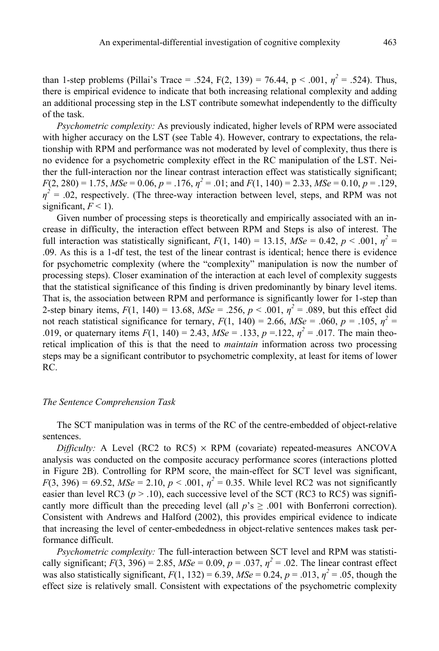than 1-step problems (Pillai's Trace = .524,  $F(2, 139) = 76.44$ ,  $p < .001$ ,  $\eta^2 = .524$ ). Thus, there is empirical evidence to indicate that both increasing relational complexity and adding an additional processing step in the LST contribute somewhat independently to the difficulty of the task.

*Psychometric complexity:* As previously indicated, higher levels of RPM were associated with higher accuracy on the LST (see Table 4). However, contrary to expectations, the relationship with RPM and performance was not moderated by level of complexity, thus there is no evidence for a psychometric complexity effect in the RC manipulation of the LST. Neither the full-interaction nor the linear contrast interaction effect was statistically significant;  $F(2, 280) = 1.75$ ,  $MSe = 0.06$ ,  $p = .176$ ,  $\eta^2 = .01$ ; and  $F(1, 140) = 2.33$ ,  $MSe = 0.10$ ,  $p = .129$ ,  $\eta^2$  = .02, respectively. (The three-way interaction between level, steps, and RPM was not significant,  $F < 1$ ).

Given number of processing steps is theoretically and empirically associated with an increase in difficulty, the interaction effect between RPM and Steps is also of interest. The full interaction was statistically significant,  $F(1, 140) = 13.15$ ,  $\overline{MSe} = 0.42$ ,  $p < .001$ ,  $\eta^2 =$ .09. As this is a 1-df test, the test of the linear contrast is identical; hence there is evidence for psychometric complexity (where the "complexity" manipulation is now the number of processing steps). Closer examination of the interaction at each level of complexity suggests that the statistical significance of this finding is driven predominantly by binary level items. That is, the association between RPM and performance is significantly lower for 1-step than 2-step binary items,  $F(1, 140) = 13.68$ ,  $MSe = 0.256$ ,  $p < 0.001$ ,  $\eta^2 = 0.089$ , but this effect did not reach statistical significance for ternary,  $F(1, 140) = 2.66$ ,  $MSe = .060$ ,  $p = .105$ ,  $\eta^2 =$ .019, or quaternary items  $F(1, 140) = 2.43$ ,  $MSe = 0.133$ ,  $p = 0.122$ ,  $\eta^2 = 0.017$ . The main theoretical implication of this is that the need to *maintain* information across two processing steps may be a significant contributor to psychometric complexity, at least for items of lower RC.

#### *The Sentence Comprehension Task*

The SCT manipulation was in terms of the RC of the centre-embedded of object-relative sentences.

*Difficulty:* A Level (RC2 to RC5)  $\times$  RPM (covariate) repeated-measures ANCOVA analysis was conducted on the composite accuracy performance scores (interactions plotted in Figure 2B). Controlling for RPM score, the main-effect for SCT level was significant, *F*(3, 396) = 69.52, *MSe* = 2.10,  $p < .001$ ,  $\eta^2 = 0.35$ . While level RC2 was not significantly easier than level RC3 ( $p > 0.10$ ), each successive level of the SCT (RC3 to RC5) was significantly more difficult than the preceding level (all  $p's \ge 0.001$  with Bonferroni correction). Consistent with Andrews and Halford (2002), this provides empirical evidence to indicate that increasing the level of center-embededness in object-relative sentences makes task performance difficult.

*Psychometric complexity:* The full-interaction between SCT level and RPM was statistically significant;  $F(3, 396) = 2.85$ ,  $MSe = 0.09$ ,  $p = .037$ ,  $\eta^2 = .02$ . The linear contrast effect was also statistically significant,  $F(1, 132) = 6.39$ ,  $MSe = 0.24$ ,  $p = .013$ ,  $\eta^2 = .05$ , though the effect size is relatively small. Consistent with expectations of the psychometric complexity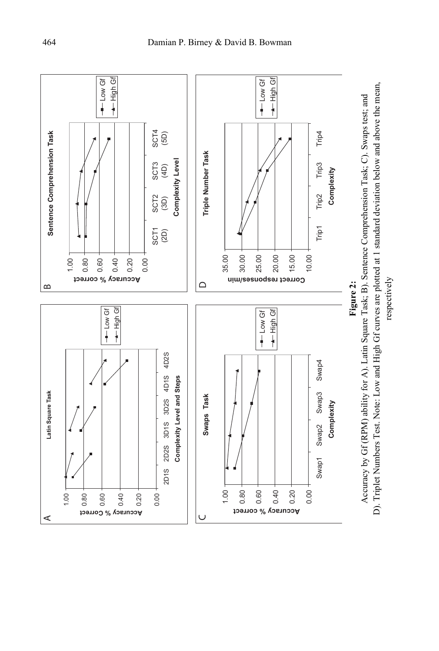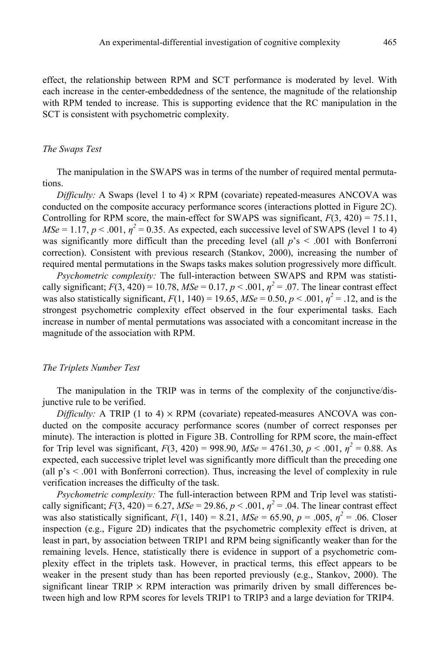effect, the relationship between RPM and SCT performance is moderated by level. With each increase in the center-embeddedness of the sentence, the magnitude of the relationship with RPM tended to increase. This is supporting evidence that the RC manipulation in the SCT is consistent with psychometric complexity.

#### *The Swaps Test*

The manipulation in the SWAPS was in terms of the number of required mental permutations.

*Difficulty:* A Swaps (level 1 to 4)  $\times$  RPM (covariate) repeated-measures ANCOVA was conducted on the composite accuracy performance scores (interactions plotted in Figure 2C). Controlling for RPM score, the main-effect for SWAPS was significant,  $F(3, 420) = 75.11$ ,  $MSe = 1.17$ ,  $p < .001$ ,  $\eta^2 = 0.35$ . As expected, each successive level of SWAPS (level 1 to 4) was significantly more difficult than the preceding level (all  $p's < .001$  with Bonferroni correction). Consistent with previous research (Stankov, 2000), increasing the number of required mental permutations in the Swaps tasks makes solution progressively more difficult.

*Psychometric complexity:* The full-interaction between SWAPS and RPM was statistically significant;  $F(3, 420) = 10.78$ ,  $MSe = 0.17$ ,  $p < .001$ ,  $\eta^2 = .07$ . The linear contrast effect was also statistically significant,  $F(1, 140) = 19.65$ ,  $MSe = 0.50$ ,  $p < .001$ ,  $\eta^2 = .12$ , and is the strongest psychometric complexity effect observed in the four experimental tasks. Each increase in number of mental permutations was associated with a concomitant increase in the magnitude of the association with RPM.

### *The Triplets Number Test*

The manipulation in the TRIP was in terms of the complexity of the conjunctive/disjunctive rule to be verified.

*Difficulty:* A TRIP (1 to 4)  $\times$  RPM (covariate) repeated-measures ANCOVA was conducted on the composite accuracy performance scores (number of correct responses per minute). The interaction is plotted in Figure 3B. Controlling for RPM score, the main-effect for Trip level was significant,  $F(3, 420) = 998.90$ ,  $MSe = 4761.30$ ,  $p < .001$ ,  $\eta^2 = 0.88$ . As expected, each successive triplet level was significantly more difficult than the preceding one (all  $p's < .001$  with Bonferroni correction). Thus, increasing the level of complexity in rule verification increases the difficulty of the task.

*Psychometric complexity:* The full-interaction between RPM and Trip level was statistically significant;  $F(3, 420) = 6.27$ ,  $MSe = 29.86$ ,  $p < .001$ ,  $\eta^2 = .04$ . The linear contrast effect was also statistically significant,  $F(1, 140) = 8.21$ ,  $MSe = 65.90$ ,  $p = .005$ ,  $\eta^2 = .06$ . Closer inspection (e.g., Figure 2D) indicates that the psychometric complexity effect is driven, at least in part, by association between TRIP1 and RPM being significantly weaker than for the remaining levels. Hence, statistically there is evidence in support of a psychometric complexity effect in the triplets task. However, in practical terms, this effect appears to be weaker in the present study than has been reported previously (e.g., Stankov, 2000). The significant linear TRIP  $\times$  RPM interaction was primarily driven by small differences between high and low RPM scores for levels TRIP1 to TRIP3 and a large deviation for TRIP4.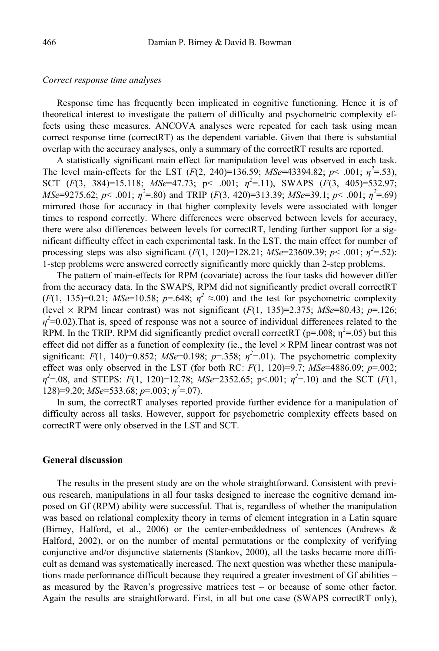#### *Correct response time analyses*

Response time has frequently been implicated in cognitive functioning. Hence it is of theoretical interest to investigate the pattern of difficulty and psychometric complexity effects using these measures. ANCOVA analyses were repeated for each task using mean correct response time (correctRT) as the dependent variable. Given that there is substantial overlap with the accuracy analyses, only a summary of the correctRT results are reported.

A statistically significant main effect for manipulation level was observed in each task. The level main-effects for the LST  $(F(2, 240)=136.59; MSe=43394.82; p<.001; \eta^2=.53)$ , SCT (*F*(3, 384)=15.118; *MSe*=47.73; p< .001; *η<sup>2</sup>* =.11), SWAPS (*F*(3, 405)=532.97; *MSe*=9275.62; *p*< .001;  $\eta^2$ =.80) and TRIP (*F*(3, 420)=313.39; *MSe*=39.1; *p*< .001;  $\eta^2$ =.69) mirrored those for accuracy in that higher complexity levels were associated with longer times to respond correctly. Where differences were observed between levels for accuracy, there were also differences between levels for correctRT, lending further support for a significant difficulty effect in each experimental task. In the LST, the main effect for number of processing steps was also significant  $(F(1, 120)=128.21; MSe=23609.39; p<.001; \eta^2=.52)$ : 1-step problems were answered correctly significantly more quickly than 2-step problems.

The pattern of main-effects for RPM (covariate) across the four tasks did however differ from the accuracy data. In the SWAPS, RPM did not significantly predict overall correctRT  $(F(1, 135)=0.21$ ; *MSe*=10.58;  $p=.648$ ;  $\eta^2 \approx .00$ ) and the test for psychometric complexity (level  $\times$  RPM linear contrast) was not significant ( $F(1, 135)=2.375$ ; *MSe*=80.43;  $p=126$ ;  $\eta^2$ =0.02).That is, speed of response was not a source of individual differences related to the RPM. In the TRIP, RPM did significantly predict overall correctRT ( $p=0.008$ ;  $\eta^2=0.05$ ) but this effect did not differ as a function of complexity (ie., the level  $\times$  RPM linear contrast was not significant:  $F(1, 140)=0.852$ ;  $MSe=0.198$ ;  $p=.358$ ;  $\eta^2=.01$ ). The psychometric complexity effect was only observed in the LST (for both RC:  $F(1, 120)=9.7$ ;  $MSe=4886.09$ ;  $p=.002$ ; *η2* =.08, and STEPS: *F*(1, 120)=12.78; *MSe*=2352.65; p<.001; *η<sup>2</sup>* =.10) and the SCT (*F*(1, 128)=9.20; *MSe*=533.68; *p*=.003; *η<sup>2</sup>* =.07).

In sum, the correctRT analyses reported provide further evidence for a manipulation of difficulty across all tasks. However, support for psychometric complexity effects based on correctRT were only observed in the LST and SCT.

#### **General discussion**

The results in the present study are on the whole straightforward. Consistent with previous research, manipulations in all four tasks designed to increase the cognitive demand imposed on Gf (RPM) ability were successful. That is, regardless of whether the manipulation was based on relational complexity theory in terms of element integration in a Latin square (Birney, Halford, et al., 2006) or the center-embeddedness of sentences (Andrews & Halford, 2002), or on the number of mental permutations or the complexity of verifying conjunctive and/or disjunctive statements (Stankov, 2000), all the tasks became more difficult as demand was systematically increased. The next question was whether these manipulations made performance difficult because they required a greater investment of Gf abilities – as measured by the Raven's progressive matrices test – or because of some other factor. Again the results are straightforward. First, in all but one case (SWAPS correctRT only),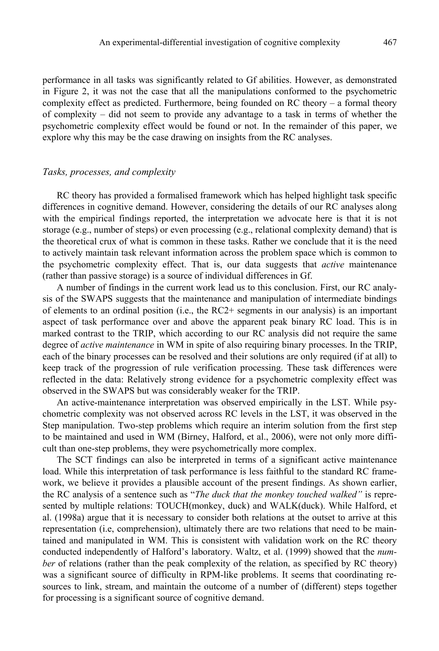performance in all tasks was significantly related to Gf abilities. However, as demonstrated in Figure 2, it was not the case that all the manipulations conformed to the psychometric complexity effect as predicted. Furthermore, being founded on RC theory – a formal theory of complexity – did not seem to provide any advantage to a task in terms of whether the psychometric complexity effect would be found or not. In the remainder of this paper, we explore why this may be the case drawing on insights from the RC analyses.

# *Tasks, processes, and complexity*

RC theory has provided a formalised framework which has helped highlight task specific differences in cognitive demand. However, considering the details of our RC analyses along with the empirical findings reported, the interpretation we advocate here is that it is not storage (e.g., number of steps) or even processing (e.g., relational complexity demand) that is the theoretical crux of what is common in these tasks. Rather we conclude that it is the need to actively maintain task relevant information across the problem space which is common to the psychometric complexity effect. That is, our data suggests that *active* maintenance (rather than passive storage) is a source of individual differences in Gf.

A number of findings in the current work lead us to this conclusion. First, our RC analysis of the SWAPS suggests that the maintenance and manipulation of intermediate bindings of elements to an ordinal position (i.e., the RC2+ segments in our analysis) is an important aspect of task performance over and above the apparent peak binary RC load. This is in marked contrast to the TRIP, which according to our RC analysis did not require the same degree of *active maintenance* in WM in spite of also requiring binary processes. In the TRIP, each of the binary processes can be resolved and their solutions are only required (if at all) to keep track of the progression of rule verification processing. These task differences were reflected in the data: Relatively strong evidence for a psychometric complexity effect was observed in the SWAPS but was considerably weaker for the TRIP.

An active-maintenance interpretation was observed empirically in the LST. While psychometric complexity was not observed across RC levels in the LST, it was observed in the Step manipulation. Two-step problems which require an interim solution from the first step to be maintained and used in WM (Birney, Halford, et al., 2006), were not only more difficult than one-step problems, they were psychometrically more complex.

The SCT findings can also be interpreted in terms of a significant active maintenance load. While this interpretation of task performance is less faithful to the standard RC framework, we believe it provides a plausible account of the present findings. As shown earlier, the RC analysis of a sentence such as "*The duck that the monkey touched walked"* is represented by multiple relations: TOUCH(monkey, duck) and WALK(duck). While Halford, et al. (1998a) argue that it is necessary to consider both relations at the outset to arrive at this representation (i.e, comprehension), ultimately there are two relations that need to be maintained and manipulated in WM. This is consistent with validation work on the RC theory conducted independently of Halford's laboratory. Waltz, et al. (1999) showed that the *number* of relations (rather than the peak complexity of the relation, as specified by RC theory) was a significant source of difficulty in RPM-like problems. It seems that coordinating resources to link, stream, and maintain the outcome of a number of (different) steps together for processing is a significant source of cognitive demand.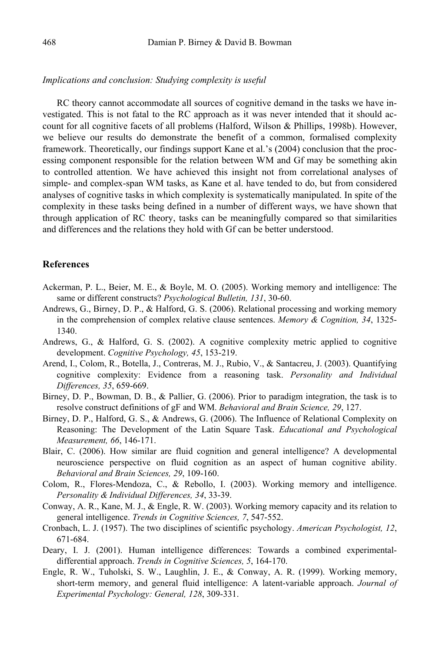### *Implications and conclusion: Studying complexity is useful*

RC theory cannot accommodate all sources of cognitive demand in the tasks we have investigated. This is not fatal to the RC approach as it was never intended that it should account for all cognitive facets of all problems (Halford, Wilson & Phillips, 1998b). However, we believe our results do demonstrate the benefit of a common, formalised complexity framework. Theoretically, our findings support Kane et al.'s (2004) conclusion that the processing component responsible for the relation between WM and Gf may be something akin to controlled attention. We have achieved this insight not from correlational analyses of simple- and complex-span WM tasks, as Kane et al. have tended to do, but from considered analyses of cognitive tasks in which complexity is systematically manipulated. In spite of the complexity in these tasks being defined in a number of different ways, we have shown that through application of RC theory, tasks can be meaningfully compared so that similarities and differences and the relations they hold with Gf can be better understood.

#### **References**

- Ackerman, P. L., Beier, M. E., & Boyle, M. O. (2005). Working memory and intelligence: The same or different constructs? *Psychological Bulletin, 131*, 30-60.
- Andrews, G., Birney, D. P., & Halford, G. S. (2006). Relational processing and working memory in the comprehension of complex relative clause sentences. *Memory & Cognition, 34*, 1325- 1340.
- Andrews, G., & Halford, G. S. (2002). A cognitive complexity metric applied to cognitive development. *Cognitive Psychology, 45*, 153-219.
- Arend, I., Colom, R., Botella, J., Contreras, M. J., Rubio, V., & Santacreu, J. (2003). Quantifying cognitive complexity: Evidence from a reasoning task. *Personality and Individual Differences, 35*, 659-669.
- Birney, D. P., Bowman, D. B., & Pallier, G. (2006). Prior to paradigm integration, the task is to resolve construct definitions of gF and WM. *Behavioral and Brain Science, 29*, 127.
- Birney, D. P., Halford, G. S., & Andrews, G. (2006). The Influence of Relational Complexity on Reasoning: The Development of the Latin Square Task. *Educational and Psychological Measurement, 66*, 146-171.
- Blair, C. (2006). How similar are fluid cognition and general intelligence? A developmental neuroscience perspective on fluid cognition as an aspect of human cognitive ability. *Behavioral and Brain Sciences, 29*, 109-160.
- Colom, R., Flores-Mendoza, C., & Rebollo, I. (2003). Working memory and intelligence. *Personality & Individual Differences, 34*, 33-39.
- Conway, A. R., Kane, M. J., & Engle, R. W. (2003). Working memory capacity and its relation to general intelligence. *Trends in Cognitive Sciences, 7*, 547-552.
- Cronbach, L. J. (1957). The two disciplines of scientific psychology. *American Psychologist, 12*, 671-684.
- Deary, I. J. (2001). Human intelligence differences: Towards a combined experimentaldifferential approach. *Trends in Cognitive Sciences, 5*, 164-170.
- Engle, R. W., Tuholski, S. W., Laughlin, J. E., & Conway, A. R. (1999). Working memory, short-term memory, and general fluid intelligence: A latent-variable approach. *Journal of Experimental Psychology: General, 128*, 309-331.